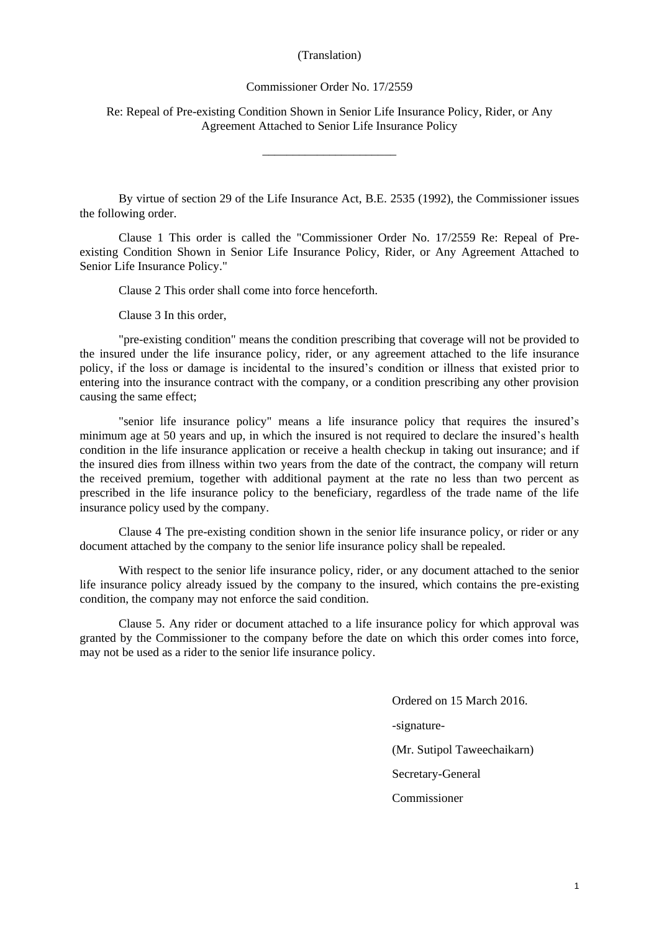## (Translation)

## Commissioner Order No. 17/2559

Re: Repeal of Pre-existing Condition Shown in Senior Life Insurance Policy, Rider, or Any Agreement Attached to Senior Life Insurance Policy

\_\_\_\_\_\_\_\_\_\_\_\_\_\_\_\_\_\_\_\_\_\_

By virtue of section 29 of the Life Insurance Act, B.E. 2535 (1992), the Commissioner issues the following order.

Clause 1 This order is called the "Commissioner Order No. 17/2559 Re: Repeal of Preexisting Condition Shown in Senior Life Insurance Policy, Rider, or Any Agreement Attached to Senior Life Insurance Policy."

Clause 2 This order shall come into force henceforth.

Clause 3 In this order,

"pre-existing condition" means the condition prescribing that coverage will not be provided to the insured under the life insurance policy, rider, or any agreement attached to the life insurance policy, if the loss or damage is incidental to the insured's condition or illness that existed prior to entering into the insurance contract with the company, or a condition prescribing any other provision causing the same effect;

"senior life insurance policy" means a life insurance policy that requires the insured's minimum age at 50 years and up, in which the insured is not required to declare the insured's health condition in the life insurance application or receive a health checkup in taking out insurance; and if the insured dies from illness within two years from the date of the contract, the company will return the received premium, together with additional payment at the rate no less than two percent as prescribed in the life insurance policy to the beneficiary, regardless of the trade name of the life insurance policy used by the company.

Clause 4 The pre-existing condition shown in the senior life insurance policy, or rider or any document attached by the company to the senior life insurance policy shall be repealed.

With respect to the senior life insurance policy, rider, or any document attached to the senior life insurance policy already issued by the company to the insured, which contains the pre-existing condition, the company may not enforce the said condition.

Clause 5. Any rider or document attached to a life insurance policy for which approval was granted by the Commissioner to the company before the date on which this order comes into force, may not be used as a rider to the senior life insurance policy.

> Ordered on 15 March 2016. -signature- (Mr. Sutipol Taweechaikarn) Secretary-General Commissioner